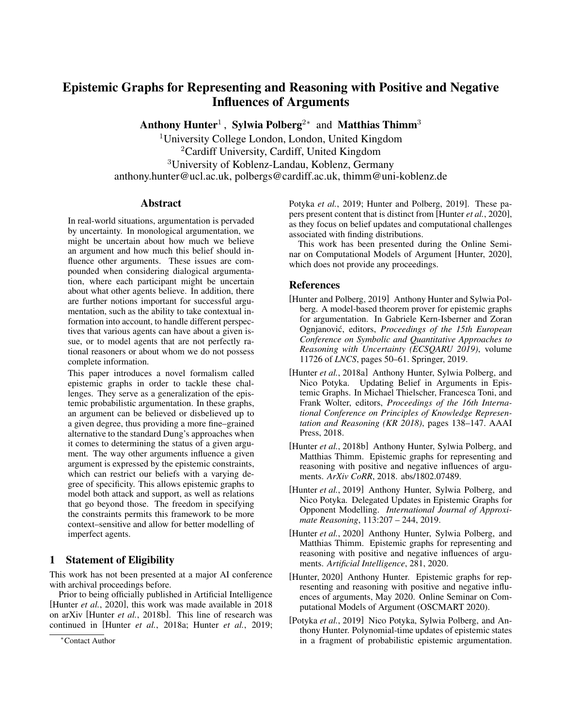## Epistemic Graphs for Representing and Reasoning with Positive and Negative Influences of Arguments

Anthony Hunter<sup>1</sup>, Sylwia Polberg<sup>2\*</sup> and Matthias Thimm<sup>3</sup>

University College London, London, United Kingdom Cardiff University, Cardiff, United Kingdom University of Koblenz-Landau, Koblenz, Germany anthony.hunter@ucl.ac.uk, polbergs@cardiff.ac.uk, thimm@uni-koblenz.de

## Abstract

In real-world situations, argumentation is pervaded by uncertainty. In monological argumentation, we might be uncertain about how much we believe an argument and how much this belief should influence other arguments. These issues are compounded when considering dialogical argumentation, where each participant might be uncertain about what other agents believe. In addition, there are further notions important for successful argumentation, such as the ability to take contextual information into account, to handle different perspectives that various agents can have about a given issue, or to model agents that are not perfectly rational reasoners or about whom we do not possess complete information.

This paper introduces a novel formalism called epistemic graphs in order to tackle these challenges. They serve as a generalization of the epistemic probabilistic argumentation. In these graphs, an argument can be believed or disbelieved up to a given degree, thus providing a more fine–grained alternative to the standard Dung's approaches when it comes to determining the status of a given argument. The way other arguments influence a given argument is expressed by the epistemic constraints, which can restrict our beliefs with a varying degree of specificity. This allows epistemic graphs to model both attack and support, as well as relations that go beyond those. The freedom in specifying the constraints permits this framework to be more context–sensitive and allow for better modelling of imperfect agents.

## 1 Statement of Eligibility

This work has not been presented at a major AI conference with archival proceedings before.

Prior to being officially published in Artificial Intelligence [\[Hunter](#page-0-0) *et al.*, 2020], this work was made available in 2018 on arXiv [Hunter *et al.*[, 2018b\]](#page-0-1). This line of research was continued in [Hunter *et al.*[, 2018a;](#page-0-2) Hunter *et al.*[, 2019;](#page-0-3) Potyka *et al.*[, 2019;](#page-0-4) [Hunter and Polberg, 2019\]](#page-0-5). These papers present content that is distinct from [\[Hunter](#page-0-0) *et al.*, 2020], as they focus on belief updates and computational challenges associated with finding distributions.

This work has been presented during the Online Seminar on Computational Models of Argument [\[Hunter, 2020\]](#page-0-6), which does not provide any proceedings.

## References

- <span id="page-0-5"></span>[Hunter and Polberg, 2019] Anthony Hunter and Sylwia Polberg. A model-based theorem prover for epistemic graphs for argumentation. In Gabriele Kern-Isberner and Zoran Ognjanović, editors, *Proceedings of the 15th European Conference on Symbolic and Quantitative Approaches to Reasoning with Uncertainty (ECSQARU 2019)*, volume 11726 of *LNCS*, pages 50–61. Springer, 2019.
- <span id="page-0-2"></span>[Hunter *et al.*, 2018a] Anthony Hunter, Sylwia Polberg, and Nico Potyka. Updating Belief in Arguments in Epistemic Graphs. In Michael Thielscher, Francesca Toni, and Frank Wolter, editors, *Proceedings of the 16th International Conference on Principles of Knowledge Representation and Reasoning (KR 2018)*, pages 138–147. AAAI Press, 2018.
- <span id="page-0-1"></span>[Hunter *et al.*, 2018b] Anthony Hunter, Sylwia Polberg, and Matthias Thimm. Epistemic graphs for representing and reasoning with positive and negative influences of arguments. *ArXiv CoRR*, 2018. abs/1802.07489.
- <span id="page-0-3"></span>[Hunter *et al.*, 2019] Anthony Hunter, Sylwia Polberg, and Nico Potyka. Delegated Updates in Epistemic Graphs for Opponent Modelling. *International Journal of Approximate Reasoning*, 113:207 – 244, 2019.
- <span id="page-0-0"></span>[Hunter *et al.*, 2020] Anthony Hunter, Sylwia Polberg, and Matthias Thimm. Epistemic graphs for representing and reasoning with positive and negative influences of arguments. *Artificial Intelligence*, 281, 2020.
- <span id="page-0-6"></span>[Hunter, 2020] Anthony Hunter. Epistemic graphs for representing and reasoning with positive and negative influences of arguments, May 2020. Online Seminar on Computational Models of Argument (OSCMART 2020).
- <span id="page-0-4"></span>[Potyka *et al.*, 2019] Nico Potyka, Sylwia Polberg, and Anthony Hunter. Polynomial-time updates of epistemic states in a fragment of probabilistic epistemic argumentation.

<sup>∗</sup>Contact Author